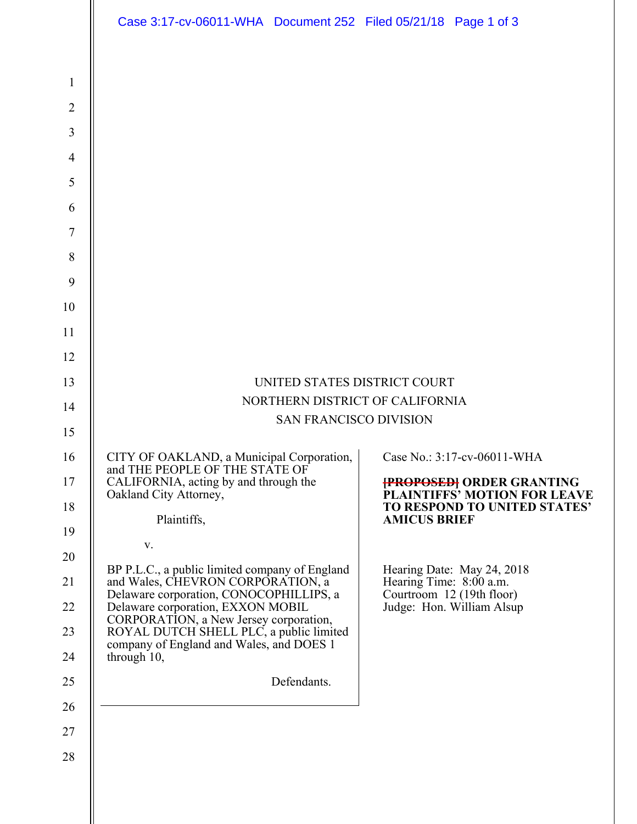|                                                                                                                           | Case 3:17-cv-06011-WHA Document 252 Filed 05/21/18 Page 1 of 3                                                                                                                                                                                                                                                                                                                                                                                                                                              |                                                                                                                                                                                                                                                                                  |  |
|---------------------------------------------------------------------------------------------------------------------------|-------------------------------------------------------------------------------------------------------------------------------------------------------------------------------------------------------------------------------------------------------------------------------------------------------------------------------------------------------------------------------------------------------------------------------------------------------------------------------------------------------------|----------------------------------------------------------------------------------------------------------------------------------------------------------------------------------------------------------------------------------------------------------------------------------|--|
| $\mathbf{1}$<br>$\overline{2}$<br>3<br>$\overline{4}$<br>5<br>6<br>$\overline{7}$<br>$\,8\,$<br>9<br>10<br>11<br>12<br>13 | UNITED STATES DISTRICT COURT                                                                                                                                                                                                                                                                                                                                                                                                                                                                                |                                                                                                                                                                                                                                                                                  |  |
| 14                                                                                                                        | NORTHERN DISTRICT OF CALIFORNIA                                                                                                                                                                                                                                                                                                                                                                                                                                                                             |                                                                                                                                                                                                                                                                                  |  |
|                                                                                                                           | <b>SAN FRANCISCO DIVISION</b>                                                                                                                                                                                                                                                                                                                                                                                                                                                                               |                                                                                                                                                                                                                                                                                  |  |
| 15<br>16<br>17<br>18<br>19<br>20<br>21<br>22<br>23<br>24<br>25<br>26<br>27<br>28                                          | CITY OF OAKLAND, a Municipal Corporation,  <br>and THE PEOPLE OF THE STATE OF<br>CALIFORNIA, acting by and through the<br>Oakland City Attorney,<br>Plaintiffs,<br>V.<br>BP P.L.C., a public limited company of England<br>and Wales, CHEVRON CORPORATION, a<br>Delaware corporation, CONOCOPHILLIPS, a<br>Delaware corporation, EXXON MOBIL<br>CORPORATION, a New Jersey corporation,<br>ROYAL DUTCH SHELL PLC, a public limited<br>company of England and Wales, and DOES 1<br>through 10,<br>Defendants. | Case No.: 3:17-cv-06011-WHA<br><b>{PROPOSED}</b> ORDER GRANTING<br><b>PLAINTIFFS' MOTION FOR LEAVE</b><br>TO RESPOND TO UNITED STATES'<br><b>AMICUS BRIEF</b><br>Hearing Date: May 24, 2018<br>Hearing Time: 8:00 a.m.<br>Courtroom 12 (19th floor)<br>Judge: Hon. William Alsup |  |
|                                                                                                                           |                                                                                                                                                                                                                                                                                                                                                                                                                                                                                                             |                                                                                                                                                                                                                                                                                  |  |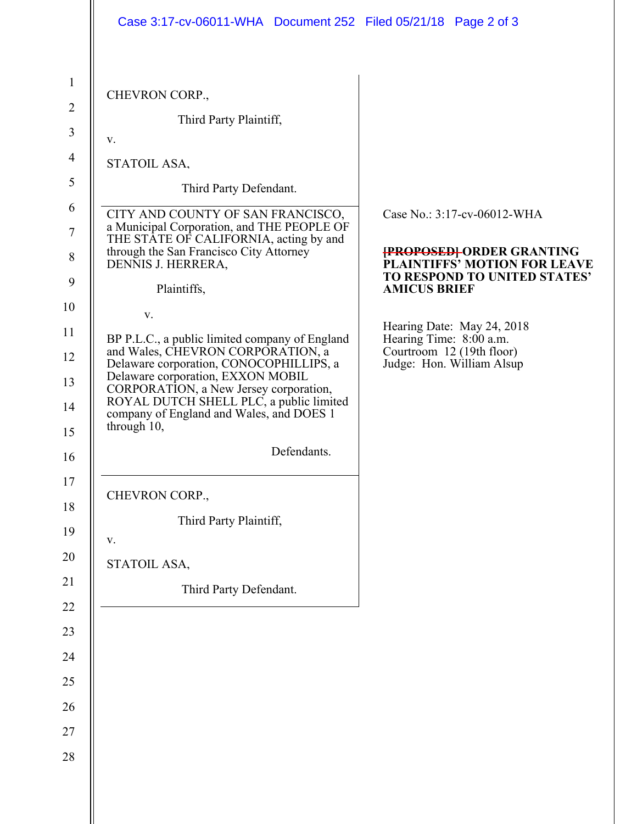|                                                                                     | Case 3:17-cv-06011-WHA Document 252 Filed 05/21/18 Page 2 of 3                                                                                                                                                                                                                                                                           |                                                                                                                                                        |
|-------------------------------------------------------------------------------------|------------------------------------------------------------------------------------------------------------------------------------------------------------------------------------------------------------------------------------------------------------------------------------------------------------------------------------------|--------------------------------------------------------------------------------------------------------------------------------------------------------|
| $\mathbf{1}$<br>$\overline{2}$<br>3<br>$\overline{4}$<br>5<br>6<br>$\tau$<br>8<br>9 | CHEVRON CORP.,<br>Third Party Plaintiff,<br>V.<br>STATOIL ASA,<br>Third Party Defendant.<br>CITY AND COUNTY OF SAN FRANCISCO,<br>a Municipal Corporation, and THE PEOPLE OF<br>THE STATE OF CALIFORNIA, acting by and<br>through the San Francisco City Attorney<br>DENNIS J. HERRERA,<br>Plaintiffs,                                    | Case No.: 3:17-cv-06012-WHA<br><b>{PROPOSED}</b> ORDER GRANTING<br>PLAINTIFFS' MOTION FOR LEAVE<br>TO RESPOND TO UNITED STATES'<br><b>AMICUS BRIEF</b> |
| 10<br>11<br>12<br>13<br>14<br>15<br>16<br>17                                        | V.<br>BP P.L.C., a public limited company of England<br>and Wales, CHEVRON CORPORATION, a<br>Delaware corporation, CONOCOPHILLIPS, a<br>Delaware corporation, EXXON MOBIL<br>CORPORATION, a New Jersey corporation,<br>ROYAL DUTCH SHELL PLC, a public limited<br>company of England and Wales, and DOES 1<br>through 10,<br>Defendants. | Hearing Date: May 24, 2018<br>Hearing Time: 8:00 a.m.<br>Courtroom 12 (19th floor)<br>Judge: Hon. William Alsup                                        |
| 18<br>19<br>20<br>21<br>$22\,$<br>23<br>24<br>25<br>26<br>27<br>28                  | CHEVRON CORP.,<br>Third Party Plaintiff,<br>${\bf V}$ .<br>STATOIL ASA,<br>Third Party Defendant.                                                                                                                                                                                                                                        |                                                                                                                                                        |